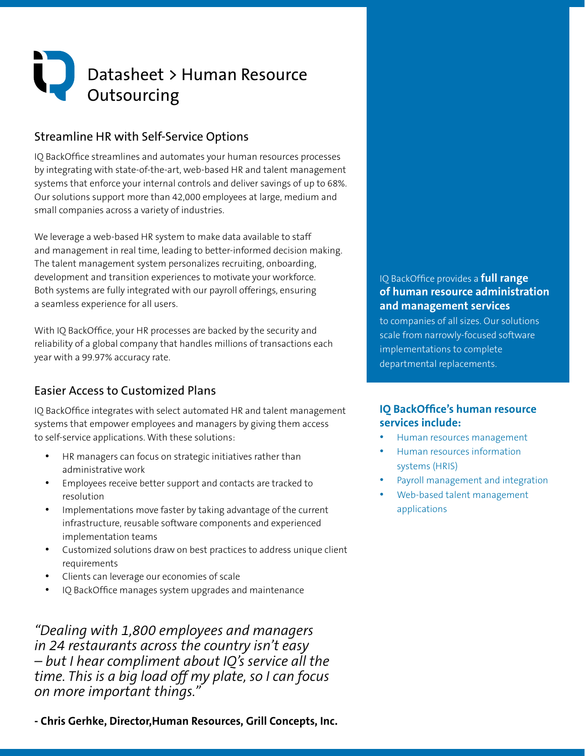# Datasheet > Human Resource **Outsourcing**

### Streamline HR with Self-Service Options

IQ BackOffice streamlines and automates your human resources processes by integrating with state-of-the-art, web-based HR and talent management systems that enforce your internal controls and deliver savings of up to 68%. Our solutions support more than 42,000 employees at large, medium and small companies across a variety of industries.

We leverage a web-based HR system to make data available to staff and management in real time, leading to better-informed decision making. The talent management system personalizes recruiting, onboarding, development and transition experiences to motivate your workforce. Both systems are fully integrated with our payroll offerings, ensuring a seamless experience for all users.

With IQ BackOffice, your HR processes are backed by the security and reliability of a global company that handles millions of transactions each year with a 99.97% accuracy rate.

## Easier Access to Customized Plans

IQ BackOffice integrates with select automated HR and talent management systems that empower employees and managers by giving them access to self-service applications. With these solutions:

- HR managers can focus on strategic initiatives rather than administrative work
- Employees receive better support and contacts are tracked to resolution
- Implementations move faster by taking advantage of the current infrastructure, reusable software components and experienced implementation teams
- Customized solutions draw on best practices to address unique client requirements
- Clients can leverage our economies of scale
- IQ BackOffice manages system upgrades and maintenance

*"Dealing with 1,800 employees and managers in 24 restaurants across the country isn't easy – but I hear compliment about IQ's service all the time. This is a big load off my plate, so I can focus on more important things."*

**- Chris Gerhke, Director,Human Resources, Grill Concepts, Inc.**

#### IQ BackOffice provides a **full range of human resource administration and management services**

to companies of all sizes. Our solutions scale from narrowly-focused software implementations to complete departmental replacements.

#### **IQ BackOffice's human resource services include:**

- Human resources management
- Human resources information systems (HRIS)
- Payroll management and integration
- Web-based talent management applications